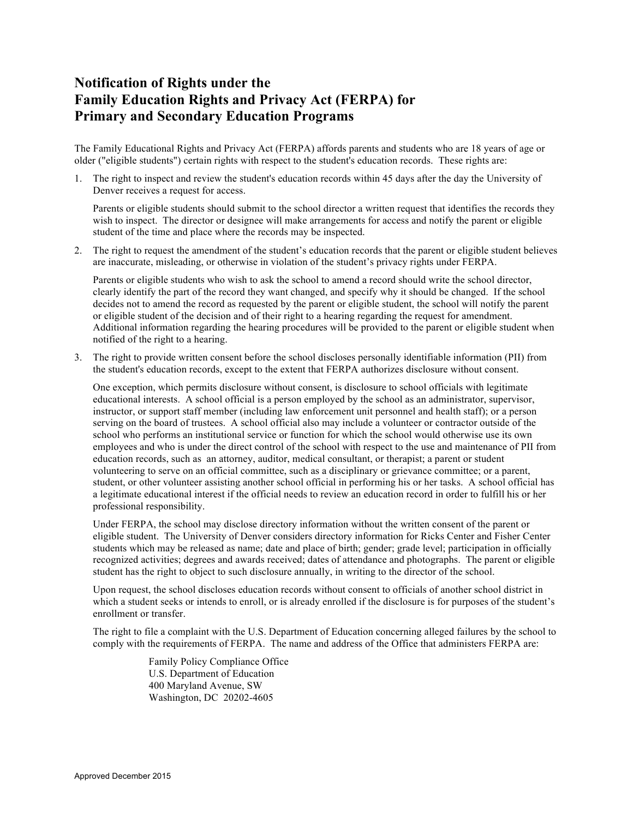## **Notification of Rights under the Family Education Rights and Privacy Act (FERPA) for Primary and Secondary Education Programs**

The Family Educational Rights and Privacy Act (FERPA) affords parents and students who are 18 years of age or older ("eligible students") certain rights with respect to the student's education records. These rights are:

1. The right to inspect and review the student's education records within 45 days after the day the University of Denver receives a request for access.

Parents or eligible students should submit to the school director a written request that identifies the records they wish to inspect. The director or designee will make arrangements for access and notify the parent or eligible student of the time and place where the records may be inspected.

2. The right to request the amendment of the student's education records that the parent or eligible student believes are inaccurate, misleading, or otherwise in violation of the student's privacy rights under FERPA.

Parents or eligible students who wish to ask the school to amend a record should write the school director, clearly identify the part of the record they want changed, and specify why it should be changed. If the school decides not to amend the record as requested by the parent or eligible student, the school will notify the parent or eligible student of the decision and of their right to a hearing regarding the request for amendment. Additional information regarding the hearing procedures will be provided to the parent or eligible student when notified of the right to a hearing.

3. The right to provide written consent before the school discloses personally identifiable information (PII) from the student's education records, except to the extent that FERPA authorizes disclosure without consent.

One exception, which permits disclosure without consent, is disclosure to school officials with legitimate educational interests. A school official is a person employed by the school as an administrator, supervisor, instructor, or support staff member (including law enforcement unit personnel and health staff); or a person serving on the board of trustees. A school official also may include a volunteer or contractor outside of the school who performs an institutional service or function for which the school would otherwise use its own employees and who is under the direct control of the school with respect to the use and maintenance of PII from education records, such as an attorney, auditor, medical consultant, or therapist; a parent or student volunteering to serve on an official committee, such as a disciplinary or grievance committee; or a parent, student, or other volunteer assisting another school official in performing his or her tasks. A school official has a legitimate educational interest if the official needs to review an education record in order to fulfill his or her professional responsibility.

Under FERPA, the school may disclose directory information without the written consent of the parent or eligible student. The University of Denver considers directory information for Ricks Center and Fisher Center students which may be released as name; date and place of birth; gender; grade level; participation in officially recognized activities; degrees and awards received; dates of attendance and photographs. The parent or eligible student has the right to object to such disclosure annually, in writing to the director of the school.

Upon request, the school discloses education records without consent to officials of another school district in which a student seeks or intends to enroll, or is already enrolled if the disclosure is for purposes of the student's enrollment or transfer.

The right to file a complaint with the U.S. Department of Education concerning alleged failures by the school to comply with the requirements of FERPA. The name and address of the Office that administers FERPA are:

> Family Policy Compliance Office U.S. Department of Education 400 Maryland Avenue, SW Washington, DC 20202-4605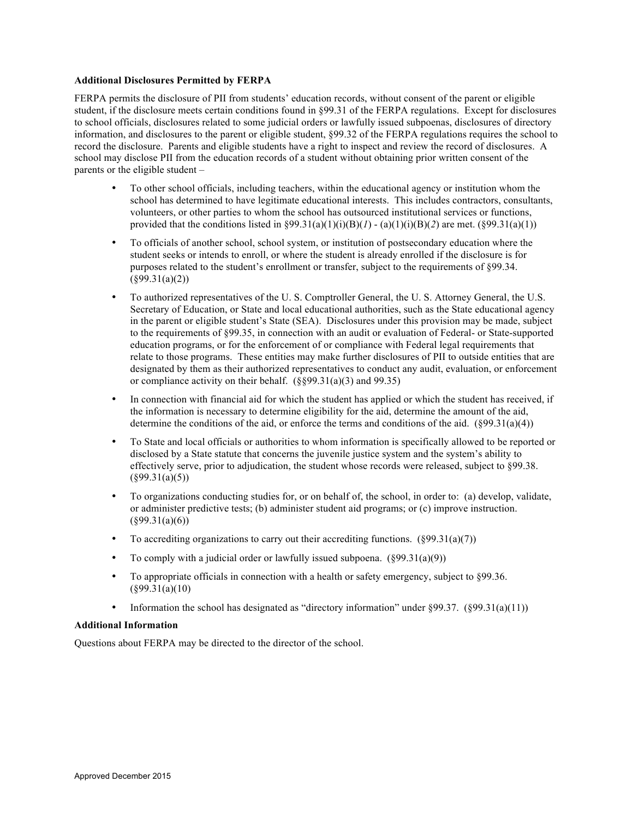## **Additional Disclosures Permitted by FERPA**

FERPA permits the disclosure of PII from students' education records, without consent of the parent or eligible student, if the disclosure meets certain conditions found in §99.31 of the FERPA regulations. Except for disclosures to school officials, disclosures related to some judicial orders or lawfully issued subpoenas, disclosures of directory information, and disclosures to the parent or eligible student, §99.32 of the FERPA regulations requires the school to record the disclosure. Parents and eligible students have a right to inspect and review the record of disclosures. A school may disclose PII from the education records of a student without obtaining prior written consent of the parents or the eligible student –

- To other school officials, including teachers, within the educational agency or institution whom the school has determined to have legitimate educational interests. This includes contractors, consultants, volunteers, or other parties to whom the school has outsourced institutional services or functions, provided that the conditions listed in  $\S 99.31(a)(1)(i)(B)(*I*) - (a)(1)(i)(B)(2)$  are met. ( $\S 99.31(a)(1)$ )
- To officials of another school, school system, or institution of postsecondary education where the student seeks or intends to enroll, or where the student is already enrolled if the disclosure is for purposes related to the student's enrollment or transfer, subject to the requirements of §99.34.  $($ §99.31(a)(2))
- To authorized representatives of the U. S. Comptroller General, the U. S. Attorney General, the U.S. Secretary of Education, or State and local educational authorities, such as the State educational agency in the parent or eligible student's State (SEA). Disclosures under this provision may be made, subject to the requirements of §99.35, in connection with an audit or evaluation of Federal- or State-supported education programs, or for the enforcement of or compliance with Federal legal requirements that relate to those programs. These entities may make further disclosures of PII to outside entities that are designated by them as their authorized representatives to conduct any audit, evaluation, or enforcement or compliance activity on their behalf.  $(\frac{6899.31(a)(3)}{3})$  and 99.35)
- In connection with financial aid for which the student has applied or which the student has received, if the information is necessary to determine eligibility for the aid, determine the amount of the aid, determine the conditions of the aid, or enforce the terms and conditions of the aid.  $(\frac{899.31(a)(4)}{2})$
- To State and local officials or authorities to whom information is specifically allowed to be reported or disclosed by a State statute that concerns the juvenile justice system and the system's ability to effectively serve, prior to adjudication, the student whose records were released, subject to §99.38.  $($ §99.31(a)(5))
- To organizations conducting studies for, or on behalf of, the school, in order to: (a) develop, validate, or administer predictive tests; (b) administer student aid programs; or (c) improve instruction.  $($ §99.31(a)(6))
- To accrediting organizations to carry out their accrediting functions.  $(\S 99.31(a)(7))$
- To comply with a judicial order or lawfully issued subpoena.  $(\S 99.31(a)(9))$
- To appropriate officials in connection with a health or safety emergency, subject to §99.36.  $($ §99.31(a)(10)
- Information the school has designated as "directory information" under §99.37. (§99.31(a)(11))

## **Additional Information**

Questions about FERPA may be directed to the director of the school.